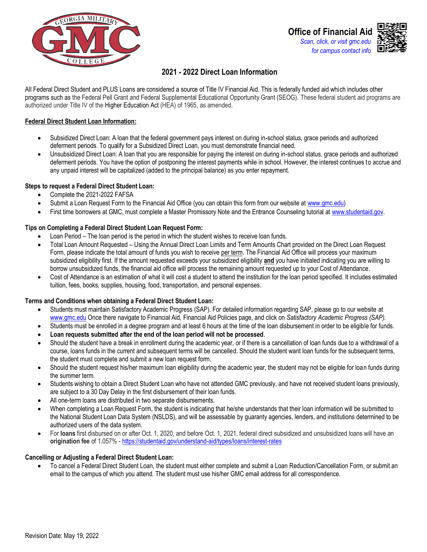



# **2021 - 2022 Direct Loan Information**

All Federal Direct Student and PLUS Loans are considered a source of Title IV Financial Aid. This is federally funded aid which includes other programs such as the Federal Pell Grant and Federal Supplemental Educational Opportunity Grant (SEOG). These federal student aid programs are authorized under Title IV of the Higher Education Act (HEA) of 1965, as amended.

### **Federal Direct Student Loan Information:**

- Subsidized Direct Loan: A loan that the federal government pays interest on during in-school status, grace periods and authorized deferment periods. To qualify for a Subsidized Direct Loan, you must demonstrate financial need.
- Unsubsidized Direct Loan: A loan that you are responsible for paying the interest on during in-school status, grace periods and authorized deferment periods. You have the option of postponing the interest payments while in school. However, the interest continues to accrue and any unpaid interest will be capitalized (added to the principal balance) as you enter repayment.

### **Steps to request a Federal Direct Student Loan:**

- Complete the 2021-2022 FAFSA
- Submit a Loan Request Form to the Financial Aid Office (you can obtain this form from our website at [www.gmc.edu\)](www.gmc.edu)
- First time borrowers at GMC, must complete a Master Promissory Note and the Entrance Counseling tutorial at [www.studentaid.gov.](http://www.studentaid.gov/)

### **Tips on Completing a Federal Direct Student Loan Request Form:**

- Loan Period The loan period is the period in which the student wishes to receive loan funds.
- Total Loan Amount Requested Using the Annual Direct Loan Limits and Term Amounts Chart provided on the Direct Loan Request Form, please indicate the total amount of funds you wish to receive per term. The Financial Aid Office will process your maximum subsidized eligibility first. If the amount requested exceeds your subsidized eligibility **and** you have initialed indicating you are willing to borrow unsubsidized funds, the financial aid office will process the remaining amount requested up to your Cost of Attendance*.*
- Cost of Attendance is an estimation of what it will cost a student to attend the institution for the loan period specified. It includes estimated tuition, fees, books, supplies, housing, food, transportation, and personal expenses.

#### **Terms and Conditions when obtaining a Federal Direct Student Loan:**

- Students must maintain Satisfactory Academic Progress (SAP). For detailed information regarding SAP, please go to our website at [www.gmc.edu](http://www.gmc.edu/) Once there navigate to Financial Aid, Financial Aid Policies page, and click on *Satisfactory Academic Progress (SAP).*
- Students must be enrolled in a degree program and at least 6 hours at the time of the loan disbursement in order to be eligible for funds.
- **Loan requests submitted after the end of the loan period will not be processed**.
- Should the student have a break in enrollment during the academic year, or if there is a cancellation of loan funds due to a withdrawal of a course, loans funds in the current and subsequent terms will be cancelled. Should the student want loan funds for the subsequent terms, the student must complete and submit a new loan request form.
- Should the student request his/her maximum loan eligibility during the academic year, the student may not be eligible for loan funds during the summer term.
- Students wishing to obtain a Direct Student Loan who have not attended GMC previously, and have not received student loans previously, are subject to a 30 Day Delay in the first disbursement of their loan funds.
- All one-term loans are distributed in two separate disbursements.
- When completing a Loan Request Form, the student is indicating that he/she understands that their loan information will be submitted to the National Student Loan Data System (NSLDS), and will be assessable by guaranty agencies, lenders, and institutions determined to be authorized users of the data system.
- For **loans** first disbursed on or after Oct. 1, 2020, and before Oct. 1, 2021, federal direct subsidized and unsubsidized loans will have an **origination fee** of 1.057% -<https://studentaid.gov/understand-aid/types/loans/interest-rates>

#### **Cancelling or Adjusting a Federal Direct Student Loan:**

• To cancel a Federal Direct Student Loan, the student must either complete and submit a Loan Reduction/Cancellation Form, or submit an email to the campus of which you attend. The student must use his/her GMC email address for all correspondence.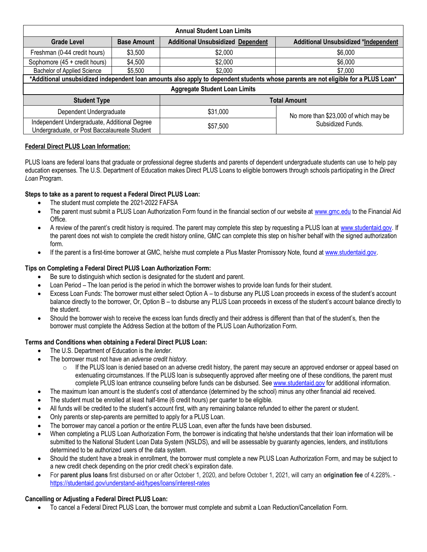| <b>Annual Student Loan Limits</b>                                                                                                  |                    |                                          |                                             |  |
|------------------------------------------------------------------------------------------------------------------------------------|--------------------|------------------------------------------|---------------------------------------------|--|
| <b>Grade Level</b>                                                                                                                 | <b>Base Amount</b> | <b>Additional Unsubsidized Dependent</b> | <b>Additional Unsubsidized *Independent</b> |  |
| Freshman (0-44 credit hours)                                                                                                       | \$3,500            | \$2,000                                  | \$6,000                                     |  |
| Sophomore (45 + credit hours)                                                                                                      | \$4,500            | \$2,000                                  | \$6,000                                     |  |
| Bachelor of Applied Science                                                                                                        | \$5,500            | \$2,000                                  | \$7,000                                     |  |
| *Additional unsubsidized independent loan amounts also apply to dependent students whose parents are not eligible for a PLUS Loan* |                    |                                          |                                             |  |
| <b>Aggregate Student Loan Limits</b>                                                                                               |                    |                                          |                                             |  |
| <b>Student Type</b>                                                                                                                |                    | <b>Total Amount</b>                      |                                             |  |
| Dependent Undergraduate                                                                                                            |                    | \$31,000                                 | No more than \$23,000 of which may be       |  |
| Independent Undergraduate, Additional Degree<br>Undergraduate, or Post Baccalaureate Student                                       |                    | \$57,500                                 | Subsidized Funds.                           |  |

## **Federal Direct PLUS Loan Information:**

PLUS loans are federal loans that graduate or professional degree students and parents of dependent undergraduate students can use to help pay education expenses. The U.S. Department of Education makes Direct PLUS Loans to eligible borrowers through schools participating in the *Direct Loan* Program.

# **Steps to take as a parent to request a Federal Direct PLUS Loan:**

- The student must complete the 2021-2022 FAFSA
- The parent must submit a PLUS Loan Authorization Form found in the financial section of our website at [www.gmc.edu](www.gmc.edu%20) to the Financial Aid Office.
- A review of the parent's credit history is required. The parent may complete this step by requesting a PLUS loan a[t www.studentaid.gov.](http://www.studentaid.gov/) If the parent does not wish to complete the credit history online, GMC can complete this step on his/her behalf with the signed authorization form.
- If the parent is a first-time borrower at GMC, he/she must complete a Plus Master Promissory Note, found a[t www.studentaid.gov.](http://www.studentaid.gov/)

# **Tips on Completing a Federal Direct PLUS Loan Authorization Form:**

- Be sure to distinguish which section is designated for the student and parent.
- Loan Period The loan period is the period in which the borrower wishes to provide loan funds for their student.
- Excess Loan Funds: The borrower must either select Option A to disburse any PLUS Loan proceeds in excess of the student's account balance directly to the borrower, Or, Option B – to disburse any PLUS Loan proceeds in excess of the student's account balance directly to the student.
- Should the borrower wish to receive the excess loan funds directly and their address is different than that of the student's, then the borrower must complete the Address Section at the bottom of the PLUS Loan Authorization Form.

## **Terms and Conditions when obtaining a Federal Direct PLUS Loan:**

- The U.S. Department of Education is the *lender*.
- The borrower must not have an *adverse credit history*.
	- $\circ$  If the PLUS loan is denied based on an adverse credit history, the parent may secure an approved endorser or appeal based on extenuating circumstances. If the PLUS loan is subsequently approved after meeting one of these conditions, the parent must complete PLUS loan entrance counseling before funds can be disbursed. Se[e www.studentaid.gov](http://www.studentaid.gov/) for additional information.
- The maximum loan amount is the student's cost of attendance (determined by the school) minus any other financial aid received.
- The student must be enrolled at least half-time (6 credit hours) per quarter to be eligible.
- All funds will be credited to the student's account first, with any remaining balance refunded to either the parent or student.
- Only parents or step-parents are permitted to apply for a PLUS Loan.
- The borrower may cancel a portion or the entire PLUS Loan, even after the funds have been disbursed.
- When completing a PLUS Loan Authorization Form, the borrower is indicating that he/she understands that their loan information will be submitted to the National Student Loan Data System (NSLDS), and will be assessable by guaranty agencies, lenders, and institutions determined to be authorized users of the data system.
- Should the student have a break in enrollment, the borrower must complete a new PLUS Loan Authorization Form, and may be subject to a new credit check depending on the prior credit check's expiration date.
- For **parent plus loans** first disbursed on or after October 1, 2020, and before October 1, 2021, will carry an **origination fee** of 4.228%. <https://studentaid.gov/understand-aid/types/loans/interest-rates>

# **Cancelling or Adjusting a Federal Direct PLUS Loan:**

• To cancel a Federal Direct PLUS Loan, the borrower must complete and submit a Loan Reduction/Cancellation Form.